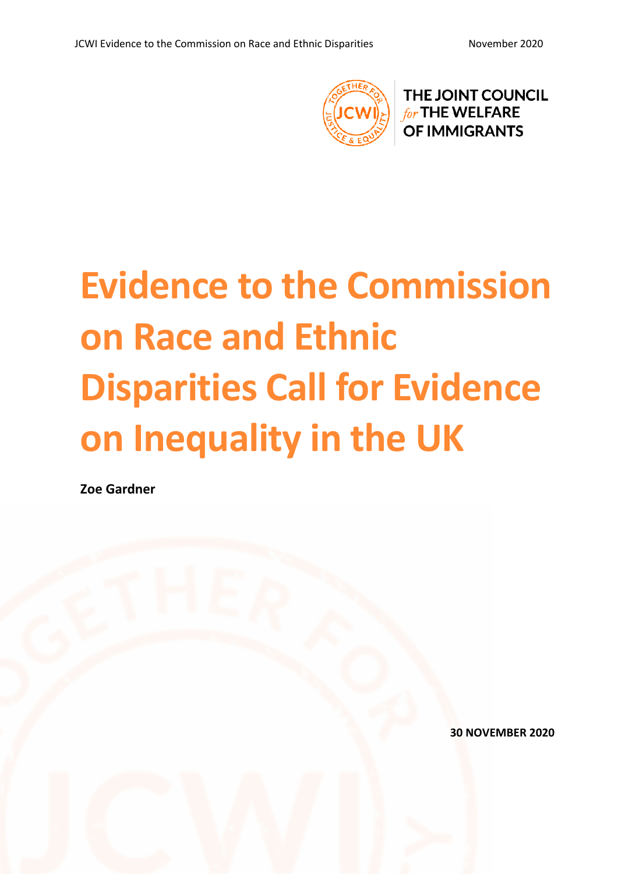

THE JOINT COUNCIL for THE WELFARE **OF IMMIGRANTS** 

# **Evidence to the Commission on Race and Ethnic Disparities Call for Evidence on Inequality in the UK**

**Zoe Gardner**

**30 NOVEMBER 2020**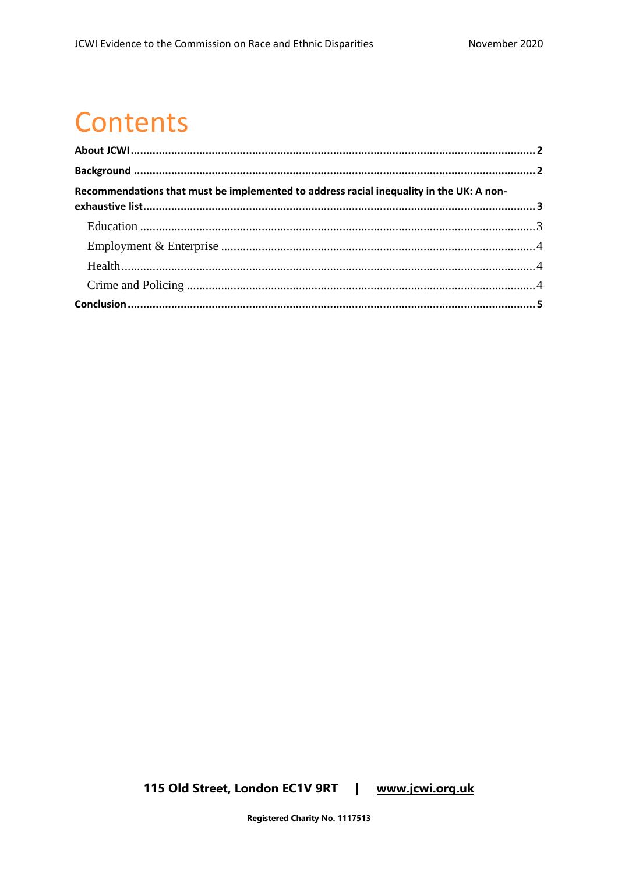### **Contents**

| Recommendations that must be implemented to address racial inequality in the UK: A non- |  |
|-----------------------------------------------------------------------------------------|--|
|                                                                                         |  |
|                                                                                         |  |
|                                                                                         |  |
|                                                                                         |  |
|                                                                                         |  |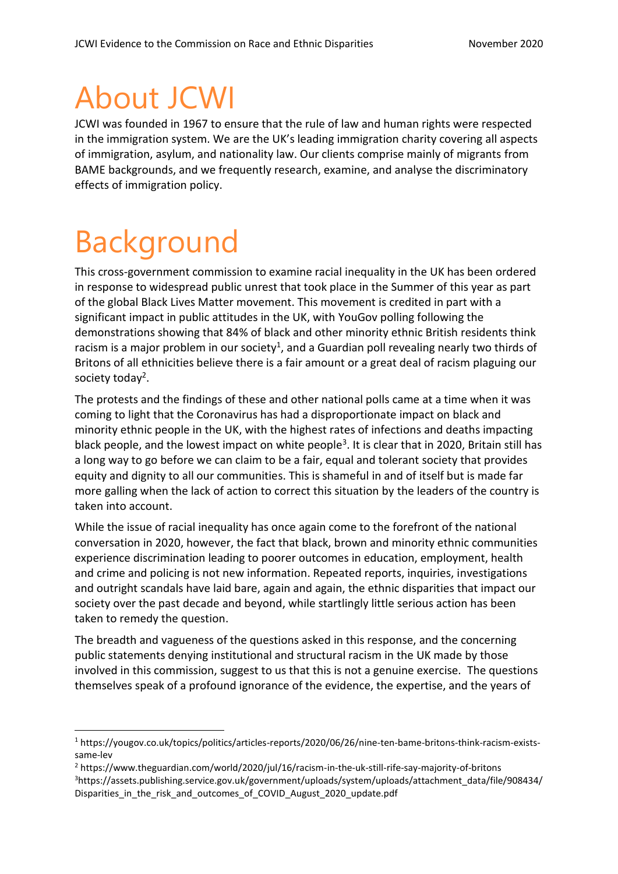### <span id="page-2-0"></span>About JCWI

JCWI was founded in 1967 to ensure that the rule of law and human rights were respected in the immigration system. We are the UK's leading immigration charity covering all aspects of immigration, asylum, and nationality law. Our clients comprise mainly of migrants from BAME backgrounds, and we frequently research, examine, and analyse the discriminatory effects of immigration policy.

### <span id="page-2-1"></span>Background

This cross-government commission to examine racial inequality in the UK has been ordered in response to widespread public unrest that took place in the Summer of this year as part of the global Black Lives Matter movement. This movement is credited in part with a significant impact in public attitudes in the UK, with YouGov polling following the demonstrations showing that 84% of black and other minority ethnic British residents think racism is a major problem in our society<sup>1</sup>, and a Guardian poll revealing nearly two thirds of Britons of all ethnicities believe there is a fair amount or a great deal of racism plaguing our society today<sup>2</sup>.

The protests and the findings of these and other national polls came at a time when it was coming to light that the Coronavirus has had a disproportionate impact on black and minority ethnic people in the UK, with the highest rates of infections and deaths impacting black people, and the lowest impact on white people<sup>3</sup>. It is clear that in 2020, Britain still has a long way to go before we can claim to be a fair, equal and tolerant society that provides equity and dignity to all our communities. This is shameful in and of itself but is made far more galling when the lack of action to correct this situation by the leaders of the country is taken into account.

While the issue of racial inequality has once again come to the forefront of the national conversation in 2020, however, the fact that black, brown and minority ethnic communities experience discrimination leading to poorer outcomes in education, employment, health and crime and policing is not new information. Repeated reports, inquiries, investigations and outright scandals have laid bare, again and again, the ethnic disparities that impact our society over the past decade and beyond, while startlingly little serious action has been taken to remedy the question.

The breadth and vagueness of the questions asked in this response, and the concerning public statements denying institutional and structural racism in the UK made by those involved in this commission, suggest to us that this is not a genuine exercise. The questions themselves speak of a profound ignorance of the evidence, the expertise, and the years of

<sup>2</sup> https://www.theguardian.com/world/2020/jul/16/racism-in-the-uk-still-rife-say-majority-of-britons <sup>3</sup>https://assets.publishing.service.gov.uk/government/uploads/system/uploads/attachment\_data/file/908434/ Disparities\_in\_the\_risk\_and\_outcomes\_of\_COVID\_August\_2020\_update.pdf

<sup>1</sup> https://yougov.co.uk/topics/politics/articles-reports/2020/06/26/nine-ten-bame-britons-think-racism-existssame-lev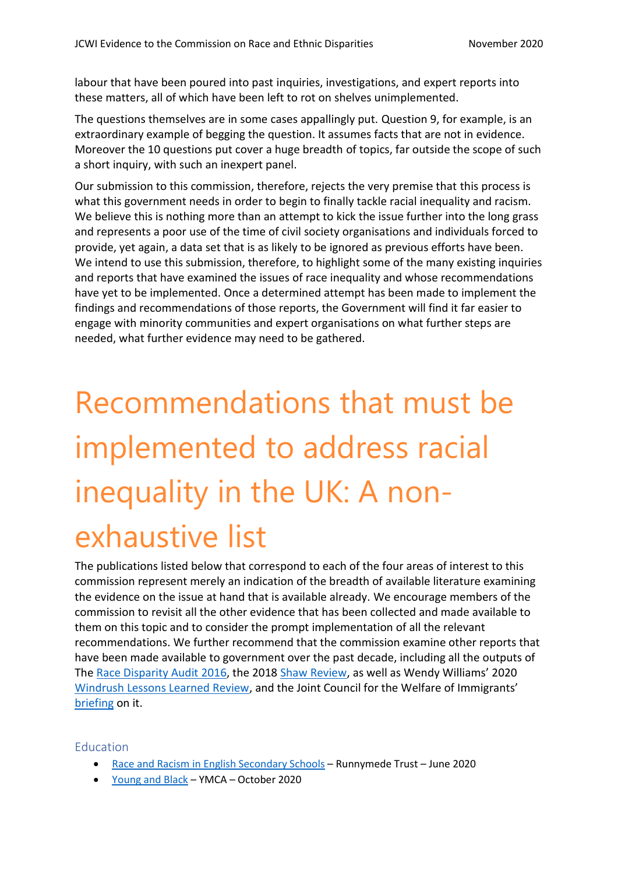labour that have been poured into past inquiries, investigations, and expert reports into these matters, all of which have been left to rot on shelves unimplemented.

The questions themselves are in some cases appallingly put. Question 9, for example, is an extraordinary example of begging the question. It assumes facts that are not in evidence. Moreover the 10 questions put cover a huge breadth of topics, far outside the scope of such a short inquiry, with such an inexpert panel.

Our submission to this commission, therefore, rejects the very premise that this process is what this government needs in order to begin to finally tackle racial inequality and racism. We believe this is nothing more than an attempt to kick the issue further into the long grass and represents a poor use of the time of civil society organisations and individuals forced to provide, yet again, a data set that is as likely to be ignored as previous efforts have been. We intend to use this submission, therefore, to highlight some of the many existing inquiries and reports that have examined the issues of race inequality and whose recommendations have yet to be implemented. Once a determined attempt has been made to implement the findings and recommendations of those reports, the Government will find it far easier to engage with minority communities and expert organisations on what further steps are needed, what further evidence may need to be gathered.

## <span id="page-3-0"></span>Recommendations that must be implemented to address racial inequality in the UK: A nonexhaustive list

The publications listed below that correspond to each of the four areas of interest to this commission represent merely an indication of the breadth of available literature examining the evidence on the issue at hand that is available already. We encourage members of the commission to revisit all the other evidence that has been collected and made available to them on this topic and to consider the prompt implementation of all the relevant recommendations. We further recommend that the commission examine other reports that have been made available to government over the past decade, including all the outputs of The [Race Disparity Audit](https://assets.publishing.service.gov.uk/government/uploads/system/uploads/attachment_data/file/686071/Revised_RDA_report_March_2018.pdf) 2016, the 2018 [Shaw Review,](https://assets.publishing.service.gov.uk/government/uploads/system/uploads/attachment_data/file/728376/Shaw_report_2018_Final_web_accessible.pdf) as well as Wendy Williams' 2020 [Windrush Lessons Learned Review](https://assets.publishing.service.gov.uk/government/uploads/system/uploads/attachment_data/file/874022/6.5577_HO_Windrush_Lessons_Learned_Review_WEB_v2.pdf), and the Joint Council for the Welfare of Immigrants' [briefing](https://www.jcwi.org.uk/windrush-lessons-learned-review) on it.

#### <span id="page-3-1"></span>Education

- [Race and Racism in English Secondary Schools](https://www.runnymedetrust.org/uploads/publications/pdfs/Runnymede%20Secondary%20Schools%20report%20FINAL.pdf) Runnymede Trust June 2020
- [Young and Black](https://www.ymca.org.uk/wp-content/uploads/2020/10/ymca-young-and-black.pdf) YMCA October 2020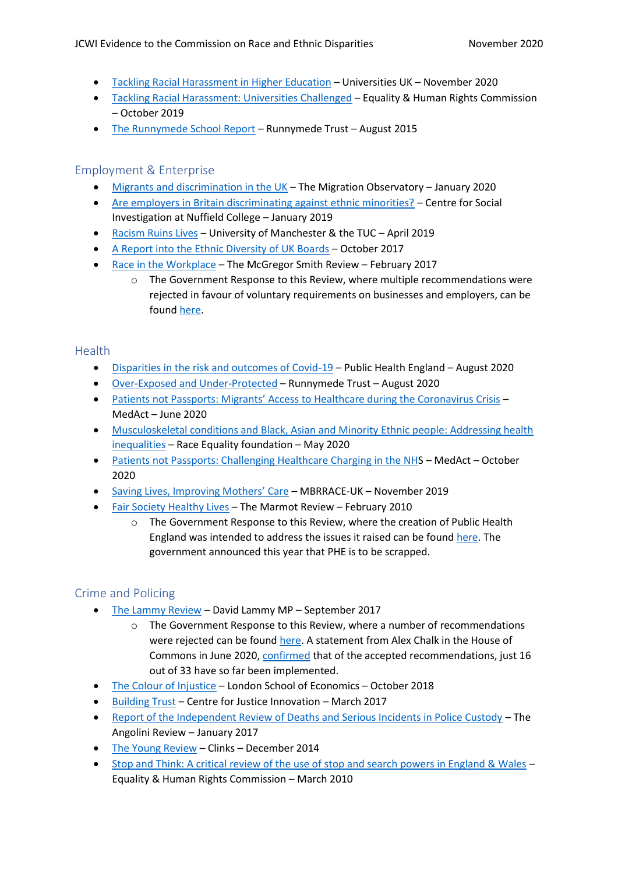- [Tackling Racial Harassment in Higher](https://www.universitiesuk.ac.uk/policy-and-analysis/reports/Pages/tackling-racial-harassment-in-higher-education.aspx) Education Universities UK November 2020
- [Tackling Racial Harassment: Universities Challenged](https://www.equalityhumanrights.com/sites/default/files/tackling-racial-harassment-universities-challenged.pdf) Equality & Human Rights Commission – October 2019
- [The Runnymede School Report](http://www.runnymedetrust.org/uploads/The%20School%20Report.pdf) Runnymede Trust August 2015

#### <span id="page-4-0"></span>Employment & Enterprise

- [Migrants and discrimination in the UK](https://migrationobservatory.ox.ac.uk/resources/briefings/migrants-and-discrimination-in-the-uk/) The Migration Observatory January 2020
- [Are employers in Britain discriminating against ethnic minorities?](http://csi.nuff.ox.ac.uk/wp-content/uploads/2019/01/Are-employers-in-Britain-discriminating-against-ethnic-minorities_final.pdf) Centre for Social Investigation at Nuffield College – January 2019
- [Racism Ruins Lives](http://hummedia.manchester.ac.uk/institutes/code/research/projects/racism-at-work/tuc-full-report.pdf) University of Manchester & the TUC April 2019
- [A Report into the Ethnic Diversity of UK Boards](https://assets.ey.com/content/dam/ey-sites/ey-com/en_uk/news/2020/02/ey-parker-review-2017-report-final.pdf) October 2017
- [Race in the Workplace](https://assets.publishing.service.gov.uk/government/uploads/system/uploads/attachment_data/file/594336/race-in-workplace-mcgregor-smith-review.pdf) The McGregor Smith Review February 2017
	- o The Government Response to this Review, where multiple recommendations were rejected in favour of voluntary requirements on businesses and employers, can be found [here.](https://assets.publishing.service.gov.uk/government/uploads/system/uploads/attachment_data/file/594365/race-in-workplace-mcgregor-smith-review-response.pdf)

#### <span id="page-4-1"></span>**Health**

- [Disparities in the risk and outcomes of Covid-19](https://assets.publishing.service.gov.uk/government/uploads/system/uploads/attachment_data/file/908434/Disparities_in_the_risk_and_outcomes_of_COVID_August_2020_update.pdf) Public Health England August 2020
- [Over-Exposed and Under-Protected](https://www.runnymedetrust.org/uploads/Runnymede%20Covid19%20Survey%20report%20v2.pdf) Runnymede Trust August 2020
- [Patients not Passports: Migrants' Access to Healthcare during the Coronavirus Crisis](https://www.medact.org/wp-content/uploads/2020/06/Patients-Not-Passports-Migrants-Access-to-Healthcare-During-the-Coronavirus-Crisis.pdf) MedAct – June 2020
- [Musculoskeletal conditions and Black, Asian and Minority Ethnic people: Addressing health](https://raceequalityfoundation.org.uk/wp-content/uploads/2020/10/MSK-Report-Addressing-Health-Inequalities.pdf)  [inequalities](https://raceequalityfoundation.org.uk/wp-content/uploads/2020/10/MSK-Report-Addressing-Health-Inequalities.pdf) – Race Equality foundation – May 2020
- [Patients not Passports: Challenging Healthcare Charging in the NHS](https://www.medact.org/wp-content/uploads/2020/10/Patients-Not-Passports-Challenging-healthcare-charging-in-the-NHS-October-2020-Update.pdf) MedAct October 2020
- [Saving Lives, Improving Mothers' Care](https://www.npeu.ox.ac.uk/assets/downloads/mbrrace-uk/reports/MBRRACE-UK%20Maternal%20Report%202019%20-%20WEB%20VERSION.pdf) MBRRACE-UK November 2019
- [Fair Society Healthy Lives](http://www.instituteofhealthequity.org/resources-reports/fair-society-healthy-lives-the-marmot-review/fair-society-healthy-lives-full-report-pdf.pdf) The Marmot Review February 2010
	- o The Government Response to this Review, where the creation of Public Health England was intended to address the issues it raised can be found [here.](https://assets.publishing.service.gov.uk/government/uploads/system/uploads/attachment_data/file/215177/dh_132548.pdf) The government announced this year that PHE is to be scrapped.

#### <span id="page-4-2"></span>Crime and Policing

- [The Lammy Review](https://assets.publishing.service.gov.uk/government/uploads/system/uploads/attachment_data/file/643001/lammy-review-final-report.pdf) David Lammy MP September 2017
	- $\circ$  The Government Response to this Review, where a number of recommendations were rejected can be found [here.](https://assets.publishing.service.gov.uk/government/uploads/system/uploads/attachment_data/file/669206/Response_to_David_Lammy_Review.pdf) A statement from Alex Chalk in the House of Commons in June 2020, [confirmed](https://www.theyworkforyou.com/debates/?id=2020-06-30d.172.0) that of the accepted recommendations, just 16 out of 33 have so far been implemented.
- [The Colour of Injustice](https://www.lse.ac.uk/united-states/Assets/Documents/The-Colour-of-Injustice.pdf) London School of Economics October 2018
- [Building Trust](https://justiceinnovation.org/sites/default/files/media/documents/2019-03/building-trust.pdf) Centre for Justice Innovation March 2017
- [Report of the Independent Review of Deaths and Serious Incidents in Police Custody](https://assets.publishing.service.gov.uk/government/uploads/system/uploads/attachment_data/file/655401/Report_of_Angiolini_Review_ISBN_Accessible.pdf) The Angolini Review – January 2017
- [The Young Review](https://www.clinks.org/publication/young-review#:~:text=The%20Young%20Review) Clinks December 2014
- [Stop and Think: A critical review of the use of stop and search powers in England & Wales](https://www.equalityhumanrights.com/sites/default/files/ehrc_stop_and_search_report.pdf) Equality & Human Rights Commission – March 2010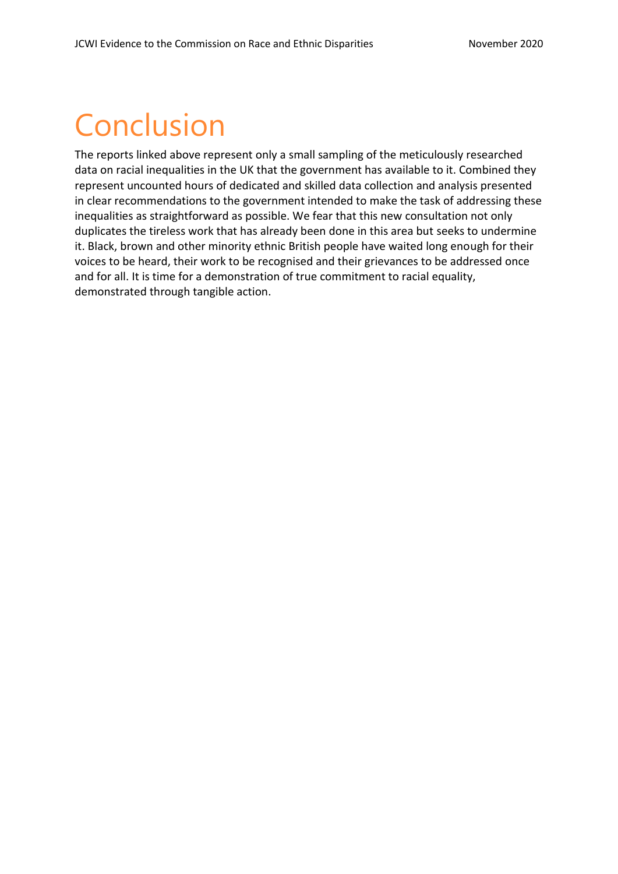### <span id="page-5-0"></span>Conclusion

The reports linked above represent only a small sampling of the meticulously researched data on racial inequalities in the UK that the government has available to it. Combined they represent uncounted hours of dedicated and skilled data collection and analysis presented in clear recommendations to the government intended to make the task of addressing these inequalities as straightforward as possible. We fear that this new consultation not only duplicates the tireless work that has already been done in this area but seeks to undermine it. Black, brown and other minority ethnic British people have waited long enough for their voices to be heard, their work to be recognised and their grievances to be addressed once and for all. It is time for a demonstration of true commitment to racial equality, demonstrated through tangible action.